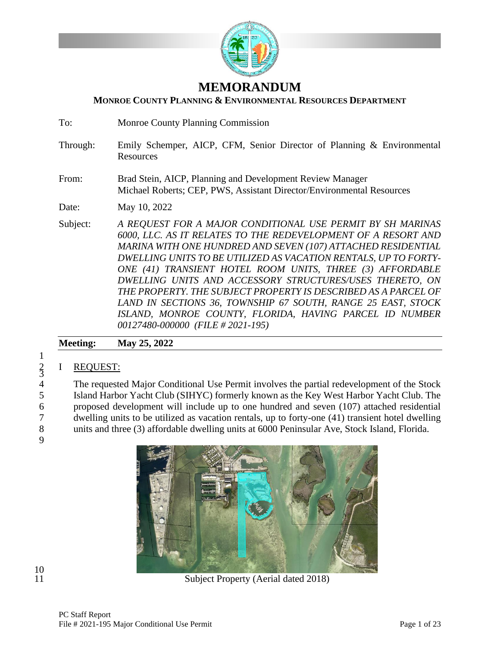

# **MEMORANDUM**

### **MONROE COUNTY PLANNING & ENVIRONMENTAL RESOURCES DEPARTMENT**

To: Monroe County Planning Commission

- Through: Emily Schemper, AICP, CFM, Senior Director of Planning & Environmental Resources
- From: Brad Stein, AICP, Planning and Development Review Manager Michael Roberts; CEP, PWS, Assistant Director/Environmental Resources

Date: May 10, 2022

Subject: *A REQUEST FOR A MAJOR CONDITIONAL USE PERMIT BY SH MARINAS 6000, LLC. AS IT RELATES TO THE REDEVELOPMENT OF A RESORT AND MARINA WITH ONE HUNDRED AND SEVEN (107) ATTACHED RESIDENTIAL DWELLING UNITS TO BE UTILIZED AS VACATION RENTALS, UP TO FORTY-ONE (41) TRANSIENT HOTEL ROOM UNITS, THREE (3) AFFORDABLE DWELLING UNITS AND ACCESSORY STRUCTURES/USES THERETO, ON THE PROPERTY. THE SUBJECT PROPERTY IS DESCRIBED AS A PARCEL OF LAND IN SECTIONS 36, TOWNSHIP 67 SOUTH, RANGE 25 EAST, STOCK ISLAND, MONROE COUNTY, FLORIDA, HAVING PARCEL ID NUMBER 00127480-000000 (FILE # 2021-195)*

# **Meeting: May 25, 2022**

# I REQUEST:

The requested Major Conditional Use Permit involves the partial redevelopment of the Stock Island Harbor Yacht Club (SIHYC) formerly known as the Key West Harbor Yacht Club. The proposed development will include up to one hundred and seven (107) attached residential dwelling units to be utilized as vacation rentals, up to forty-one (41) transient hotel dwelling units and three (3) affordable dwelling units at 6000 Peninsular Ave, Stock Island, Florida.



1

 $\frac{2}{3}$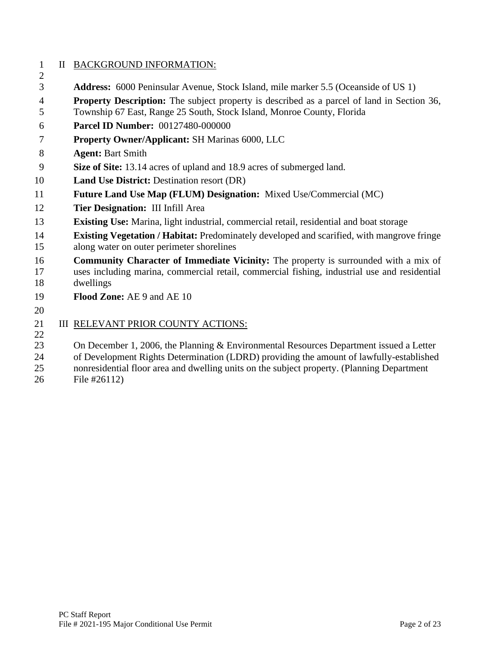# II BACKGROUND INFORMATION:

- **Address:** 6000 Peninsular Avenue, Stock Island, mile marker 5.5 (Oceanside of US 1)
- **Property Description:** The subject property is described as a parcel of land in Section 36,
- Township 67 East, Range 25 South, Stock Island, Monroe County, Florida
- **Parcel ID Number:** 00127480-000000
- **Property Owner/Applicant:** SH Marinas 6000, LLC
- **Agent:** Bart Smith
- **Size of Site:** 13.14 acres of upland and 18.9 acres of submerged land.
- **Land Use District:** Destination resort (DR)
- **Future Land Use Map (FLUM) Designation:** Mixed Use/Commercial (MC)
- **Tier Designation:** III Infill Area
- **Existing Use:** Marina, light industrial, commercial retail, residential and boat storage
- **Existing Vegetation / Habitat:** Predominately developed and scarified, with mangrove fringe along water on outer perimeter shorelines
- **Community Character of Immediate Vicinity:** The property is surrounded with a mix of uses including marina, commercial retail, commercial fishing, industrial use and residential dwellings
- **Flood Zone:** AE 9 and AE 10
- 

 $\mathcal{L}$ 

#### 21 III RELEVANT PRIOR COUNTY ACTIONS:

23 On December 1, 2006, the Planning & Environmental Resources Department issued a Letter

of Development Rights Determination (LDRD) providing the amount of lawfully-established

- nonresidential floor area and dwelling units on the subject property. (Planning Department
- File #26112)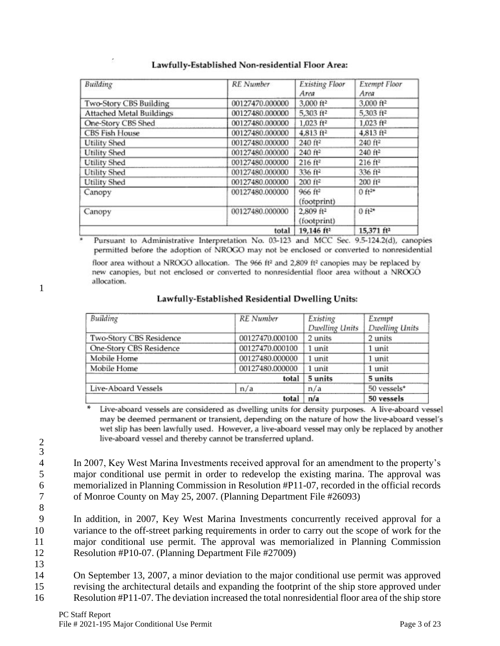| Building                        | <b>RE</b> Number | <b>Existing Floor</b><br>Area        | <b>Exempt Floor</b><br>Area |
|---------------------------------|------------------|--------------------------------------|-----------------------------|
| Two-Story CBS Building          | 00127470.000000  | 3,000 ft <sup>2</sup>                | 3,000 ft <sup>2</sup>       |
| <b>Attached Metal Buildings</b> | 00127480.000000  | 5,303 ft <sup>2</sup>                | 5,303 ft <sup>2</sup>       |
| One-Story CBS Shed              | 00127480.000000  | $1,023$ ft <sup>2</sup>              | $1,023$ ft <sup>2</sup>     |
| <b>CBS Fish House</b>           | 00127480.000000  | 4,813 ft <sup>2</sup>                | 4,813 ft <sup>2</sup>       |
| <b>Utility Shed</b>             | 00127480.000000  | 240 ft <sup>2</sup>                  | 240 ft <sup>2</sup>         |
| <b>Utility Shed</b>             | 00127480.000000  | 240 ft <sup>2</sup>                  | $240$ ft <sup>2</sup>       |
| <b>Utility Shed</b>             | 00127480.000000  | $216$ ft <sup>2</sup>                | $216$ ft <sup>2</sup>       |
| <b>Utility Shed</b>             | 00127480.000000  | 336 ft <sup>2</sup>                  | 336 ft <sup>2</sup>         |
| Utility Shed                    | 00127480.000000  | $200$ ft <sup>2</sup>                | 200 ft <sup>2</sup>         |
| Canopy                          | 00127480.000000  | 966 ft <sup>2</sup><br>(footprint)   | $0$ ft <sup>2s</sup>        |
| Canopy                          | 00127480.000000  | 2,809 ft <sup>2</sup><br>(footprint) | $0$ ft <sup>2*</sup>        |
|                                 | total            | 19,146 ft <sup>2</sup>               | 15,371 ft <sup>2</sup>      |

### Lawfully-Established Non-residential Floor Area:

Pursuant to Administrative Interpretation No. 03-123 and MCC Sec. 9.5-124.2(d), canopies permitted before the adoption of NROGO may not be enclosed or converted to nonresidential

floor area without a NROGO allocation. The 966 ft<sup>2</sup> and 2,809 ft<sup>2</sup> canopies may be replaced by new canopies, but not enclosed or converted to nonresidential floor area without a NROGO allocation.

1

| Lawfully-Established Residential Dwelling Units: |  |  |
|--------------------------------------------------|--|--|
|--------------------------------------------------|--|--|

| Building                | RE Number       | Existing       | Exempt         |
|-------------------------|-----------------|----------------|----------------|
|                         |                 | Dwelling Units | Dwelling Units |
| Two-Story CBS Residence | 00127470.000100 | 2 units        | 2 units        |
| One-Story CBS Residence | 00127470.000100 | 1 unit         | 1 unit         |
| Mobile Home             | 00127480.000000 | 1 unit         | 1 unit         |
| Mobile Home             | 00127480.000000 | 1 unit         | 1 unit         |
|                         | 5 units         | 5 units        |                |
| Live-Aboard Vessels     | n/a             | n/a            | 50 vessels*    |
|                         | total           | n/a            | 50 vessels     |

Live-aboard vessels are considered as dwelling units for density purposes. A live-aboard vessel may be deemed permanent or transient, depending on the nature of how the live-aboard vessel's wet slip has been lawfully used. However, a live-aboard vessel may only be replaced by another live-aboard vessel and thereby cannot be transferred upland.

3

8

2

 In 2007, Key West Marina Investments received approval for an amendment to the property's major conditional use permit in order to redevelop the existing marina. The approval was memorialized in Planning Commission in Resolution #P11-07, recorded in the official records of Monroe County on May 25, 2007. (Planning Department File #26093)

 In addition, in 2007, Key West Marina Investments concurrently received approval for a variance to the off-street parking requirements in order to carry out the scope of work for the major conditional use permit. The approval was memorialized in Planning Commission Resolution #P10-07. (Planning Department File #27009)

13 14 On September 13, 2007, a minor deviation to the major conditional use permit was approved 15 revising the architectural details and expanding the footprint of the ship store approved under

16 Resolution #P11-07. The deviation increased the total nonresidential floor area of the ship store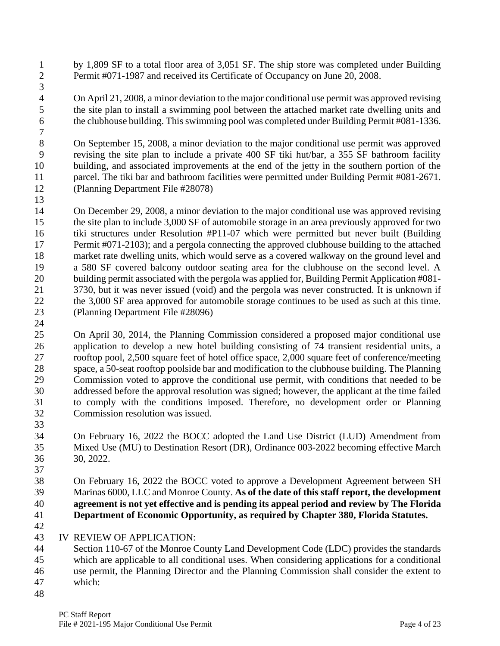by 1,809 SF to a total floor area of 3,051 SF. The ship store was completed under Building Permit #071-1987 and received its Certificate of Occupancy on June 20, 2008.

 On April 21, 2008, a minor deviation to the major conditional use permit was approved revising the site plan to install a swimming pool between the attached market rate dwelling units and the clubhouse building. This swimming pool was completed under Building Permit #081-1336.

 On September 15, 2008, a minor deviation to the major conditional use permit was approved revising the site plan to include a private 400 SF tiki hut/bar, a 355 SF bathroom facility building, and associated improvements at the end of the jetty in the southern portion of the parcel. The tiki bar and bathroom facilities were permitted under Building Permit #081-2671. (Planning Department File #28078)

 On December 29, 2008, a minor deviation to the major conditional use was approved revising the site plan to include 3,000 SF of automobile storage in an area previously approved for two tiki structures under Resolution #P11-07 which were permitted but never built (Building 17 Permit #071-2103); and a pergola connecting the approved clubhouse building to the attached market rate dwelling units, which would serve as a covered walkway on the ground level and a 580 SF covered balcony outdoor seating area for the clubhouse on the second level. A building permit associated with the pergola was applied for, Building Permit Application #081- 3730, but it was never issued (void) and the pergola was never constructed. It is unknown if 22 the 3,000 SF area approved for automobile storage continues to be used as such at this time. (Planning Department File #28096)

 On April 30, 2014, the Planning Commission considered a proposed major conditional use application to develop a new hotel building consisting of 74 transient residential units, a rooftop pool, 2,500 square feet of hotel office space, 2,000 square feet of conference/meeting space, a 50-seat rooftop poolside bar and modification to the clubhouse building. The Planning Commission voted to approve the conditional use permit, with conditions that needed to be addressed before the approval resolution was signed; however, the applicant at the time failed to comply with the conditions imposed. Therefore, no development order or Planning Commission resolution was issued.

 On February 16, 2022 the BOCC adopted the Land Use District (LUD) Amendment from Mixed Use (MU) to Destination Resort (DR), Ordinance 003-2022 becoming effective March 30, 2022.

 On February 16, 2022 the BOCC voted to approve a Development Agreement between SH Marinas 6000, LLC and Monroe County. **As of the date of this staff report, the development agreement is not yet effective and is pending its appeal period and review by The Florida Department of Economic Opportunity, as required by Chapter 380, Florida Statutes.**

IV REVIEW OF APPLICATION:

 Section 110-67 of the Monroe County Land Development Code (LDC) provides the standards which are applicable to all conditional uses. When considering applications for a conditional use permit, the Planning Director and the Planning Commission shall consider the extent to which: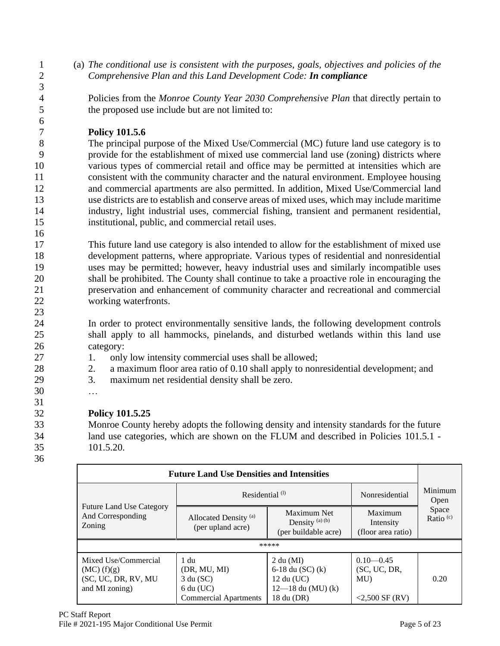1 (a) *The conditional use is consistent with the purposes, goals, objectives and policies of the*  2 *Comprehensive Plan and this Land Development Code: In compliance*

4 Policies from the *Monroe County Year 2030 Comprehensive Plan* that directly pertain to 5 the proposed use include but are not limited to:

# 7 **Policy 101.5.6**

 The principal purpose of the Mixed Use/Commercial (MC) future land use category is to provide for the establishment of mixed use commercial land use (zoning) districts where various types of commercial retail and office may be permitted at intensities which are consistent with the community character and the natural environment. Employee housing and commercial apartments are also permitted. In addition, Mixed Use/Commercial land use districts are to establish and conserve areas of mixed uses, which may include maritime industry, light industrial uses, commercial fishing, transient and permanent residential, institutional, public, and commercial retail uses.

 This future land use category is also intended to allow for the establishment of mixed use development patterns, where appropriate. Various types of residential and nonresidential uses may be permitted; however, heavy industrial uses and similarly incompatible uses shall be prohibited. The County shall continue to take a proactive role in encouraging the preservation and enhancement of community character and recreational and commercial working waterfronts.

24 In order to protect environmentally sensitive lands, the following development controls 25 shall apply to all hammocks, pinelands, and disturbed wetlands within this land use 26 category:

- 27 1. only low intensity commercial uses shall be allowed;
- 28 2. a maximum floor area ratio of 0.10 shall apply to nonresidential development; and
- 29 3. maximum net residential density shall be zero.
- 30 …

# 32 **Policy 101.5.25**

33 Monroe County hereby adopts the following density and intensity standards for the future 34 land use categories, which are shown on the FLUM and described in Policies 101.5.1 - 35 101.5.20.

36

31

3

6

16

| <b>Future Land Use Densities and Intensities</b>                              |                                                                                                                                                                   |                                                                                      |                                                         |                               |  |
|-------------------------------------------------------------------------------|-------------------------------------------------------------------------------------------------------------------------------------------------------------------|--------------------------------------------------------------------------------------|---------------------------------------------------------|-------------------------------|--|
|                                                                               | Residential $(1)$                                                                                                                                                 | Nonresidential                                                                       | Minimum<br>Open                                         |                               |  |
| <b>Future Land Use Category</b><br>And Corresponding<br>Zoning                | Maximum Net<br>Maximum<br>Allocated Density <sup>(a)</sup><br>Density $(a)$ $(b)$<br>Intensity<br>(per upland acre)<br>(per buildable acre)<br>(floor area ratio) |                                                                                      |                                                         | Space<br>Ratio <sup>(c)</sup> |  |
|                                                                               |                                                                                                                                                                   | *****                                                                                |                                                         |                               |  |
| Mixed Use/Commercial<br>$MC)$ (f)(g)<br>(SC, UC, DR, RV, MU<br>and MI zoning) | 1 du<br>(DR, MU, MI)<br>3 du (SC)<br>$6$ du (UC)<br><b>Commercial Apartments</b>                                                                                  | 2 du (MI)<br>6-18 du $(SC)$ (k)<br>12 du (UC)<br>$12 - 18$ du (MU) (k)<br>18 du (DR) | $0.10 - 0.45$<br>SC, UC, DR,<br>MU<br>$<$ 2,500 SF (RV) | 0.20                          |  |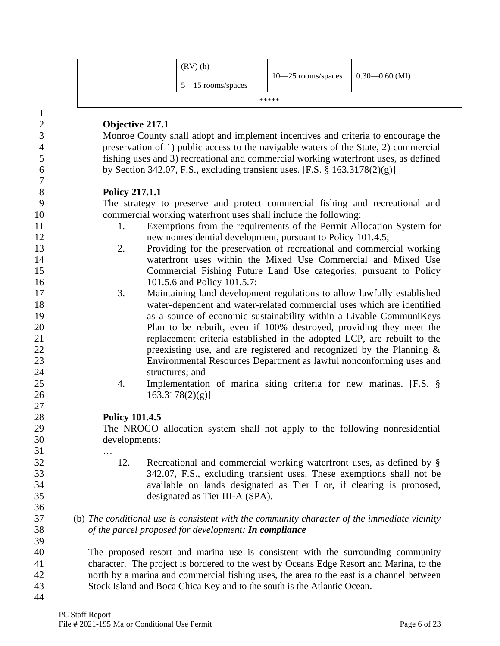| (RV)(h)<br>$5 - 15$ rooms/spaces | $10 - 25$ rooms/spaces | $\big  0.30 - 0.60 \text{ (MI)} \big $ |  |
|----------------------------------|------------------------|----------------------------------------|--|
|                                  | *****                  |                                        |  |

| $\mathbf{1}$     |                        |                                                                                              |
|------------------|------------------------|----------------------------------------------------------------------------------------------|
| $\mathbf{2}$     | <b>Objective 217.1</b> |                                                                                              |
| 3                |                        | Monroe County shall adopt and implement incentives and criteria to encourage the             |
| $\overline{4}$   |                        | preservation of 1) public access to the navigable waters of the State, 2) commercial         |
| 5                |                        | fishing uses and 3) recreational and commercial working waterfront uses, as defined          |
| 6                |                        | by Section 342.07, F.S., excluding transient uses. [F.S. $\S$ 163.3178(2)(g)]                |
| $\boldsymbol{7}$ |                        |                                                                                              |
| 8                | <b>Policy 217.1.1</b>  |                                                                                              |
| 9                |                        | The strategy to preserve and protect commercial fishing and recreational and                 |
| 10               |                        | commercial working waterfront uses shall include the following:                              |
| 11               | 1.                     | Exemptions from the requirements of the Permit Allocation System for                         |
| 12               |                        | new nonresidential development, pursuant to Policy 101.4.5;                                  |
| 13               | 2.                     | Providing for the preservation of recreational and commercial working                        |
| 14               |                        | waterfront uses within the Mixed Use Commercial and Mixed Use                                |
| 15               |                        | Commercial Fishing Future Land Use categories, pursuant to Policy                            |
| 16               |                        | 101.5.6 and Policy 101.5.7;                                                                  |
| 17               | 3.                     | Maintaining land development regulations to allow lawfully established                       |
| 18               |                        | water-dependent and water-related commercial uses which are identified                       |
| 19               |                        | as a source of economic sustainability within a Livable CommuniKeys                          |
| 20               |                        | Plan to be rebuilt, even if 100% destroyed, providing they meet the                          |
| 21               |                        | replacement criteria established in the adopted LCP, are rebuilt to the                      |
| 22               |                        | preexisting use, and are registered and recognized by the Planning $\&$                      |
| 23               |                        | Environmental Resources Department as lawful nonconforming uses and                          |
| 24               |                        | structures; and                                                                              |
| 25               | 4.                     | Implementation of marina siting criteria for new marinas. [F.S. §                            |
| 26               |                        | $163.3178(2)(g)$ ]                                                                           |
| 27               |                        |                                                                                              |
| 28               | <b>Policy 101.4.5</b>  |                                                                                              |
| 29               |                        | The NROGO allocation system shall not apply to the following nonresidential                  |
| 30               | developments:          |                                                                                              |
| 31               |                        |                                                                                              |
| 32               | 12.                    | Recreational and commercial working waterfront uses, as defined by §                         |
| 33               |                        | 342.07, F.S., excluding transient uses. These exemptions shall not be                        |
| 34               |                        | available on lands designated as Tier I or, if clearing is proposed,                         |
| 35               |                        | designated as Tier III-A (SPA).                                                              |
| 36               |                        |                                                                                              |
| 37               |                        | (b) The conditional use is consistent with the community character of the immediate vicinity |
| 38               |                        | of the parcel proposed for development: <b>In compliance</b>                                 |
| 39               |                        |                                                                                              |
| 40               |                        | The proposed resort and marina use is consistent with the surrounding community              |
| 41               |                        | character. The project is bordered to the west by Oceans Edge Resort and Marina, to the      |
|                  |                        |                                                                                              |

42 north by a marina and commercial fishing uses, the area to the east is a channel between<br>43 Stock Island and Boca Chica Key and to the south is the Atlantic Ocean. Stock Island and Boca Chica Key and to the south is the Atlantic Ocean.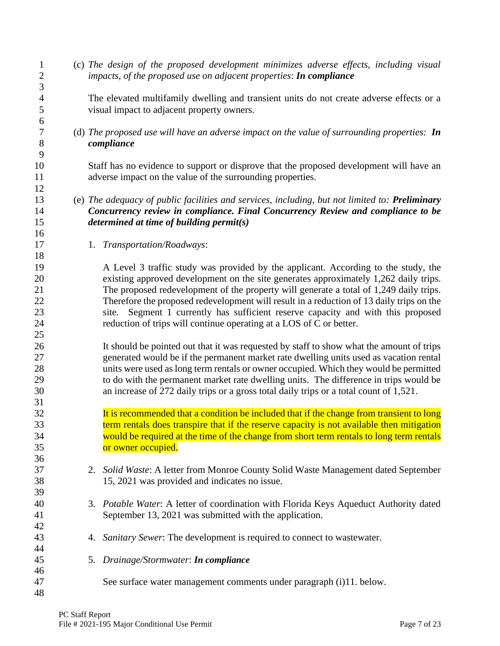(c) *The design of the proposed development minimizes adverse effects, including visual impacts, of the proposed use on adjacent properties*: *In compliance*

 The elevated multifamily dwelling and transient units do not create adverse effects or a visual impact to adjacent property owners.

 (d) *The proposed use will have an adverse impact on the value of surrounding properties: In compliance*

 Staff has no evidence to support or disprove that the proposed development will have an 11 adverse impact on the value of the surrounding properties.

## (e) *The adequacy of public facilities and services, including, but not limited to: Preliminary Concurrency review in compliance. Final Concurrency Review and compliance to be determined at time of building permit(s)*

1. *Transportation/Roadways*:

 A Level 3 traffic study was provided by the applicant. According to the study, the existing approved development on the site generates approximately 1,262 daily trips. The proposed redevelopment of the property will generate a total of 1,249 daily trips. Therefore the proposed redevelopment will result in a reduction of 13 daily trips on the site. Segment 1 currently has sufficient reserve capacity and with this proposed reduction of trips will continue operating at a LOS of C or better.

 It should be pointed out that it was requested by staff to show what the amount of trips generated would be if the permanent market rate dwelling units used as vacation rental units were used as long term rentals or owner occupied. Which they would be permitted to do with the permanent market rate dwelling units. The difference in trips would be an increase of 272 daily trips or a gross total daily trips or a total count of 1,521.

- 32 It is recommended that a condition be included that if the change from transient to long **120 term rentals does transpire that if the reserve capacity is not available then mitigation** 34 would be required at the time of the change from short term rentals to long term rentals **or owner occupied.**
- 2. *Solid Waste*: A letter from Monroe County Solid Waste Management dated September 15, 2021 was provided and indicates no issue.
- 3. *Potable Water*: A letter of coordination with Florida Keys Aqueduct Authority dated September 13, 2021 was submitted with the application.
- 4. *Sanitary Sewer*: The development is required to connect to wastewater.
- 5. *Drainage/Stormwater*: *In compliance*
- See surface water management comments under paragraph (i)11. below.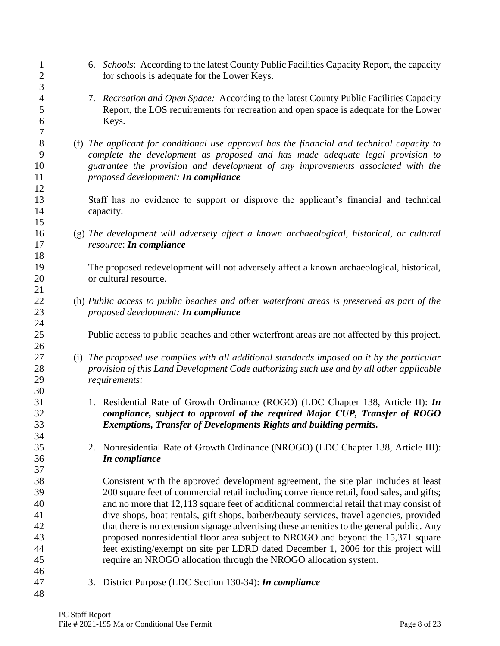- 6. *Schools*: According to the latest County Public Facilities Capacity Report, the capacity for schools is adequate for the Lower Keys.
- 7. *Recreation and Open Space:* According to the latest County Public Facilities Capacity Report, the LOS requirements for recreation and open space is adequate for the Lower Keys.
- (f) *The applicant for conditional use approval has the financial and technical capacity to complete the development as proposed and has made adequate legal provision to guarantee the provision and development of any improvements associated with the proposed development: In compliance*
- Staff has no evidence to support or disprove the applicant's financial and technical capacity.
- (g) *The development will adversely affect a known archaeological, historical, or cultural resource*: *In compliance*

 The proposed redevelopment will not adversely affect a known archaeological, historical, or cultural resource.

- (h) *Public access to public beaches and other waterfront areas is preserved as part of the proposed development: In compliance*
- Public access to public beaches and other waterfront areas are not affected by this project.
- (i) *The proposed use complies with all additional standards imposed on it by the particular provision of this Land Development Code authorizing such use and by all other applicable requirements:*
- 1. Residential Rate of Growth Ordinance (ROGO) (LDC Chapter 138, Article II): *In compliance, subject to approval of the required Major CUP, Transfer of ROGO Exemptions, Transfer of Developments Rights and building permits.*
- 2. Nonresidential Rate of Growth Ordinance (NROGO) (LDC Chapter 138, Article III): *In compliance*

 Consistent with the approved development agreement, the site plan includes at least 200 square feet of commercial retail including convenience retail, food sales, and gifts; and no more that 12,113 square feet of additional commercial retail that may consist of dive shops, boat rentals, gift shops, barber/beauty services, travel agencies, provided that there is no extension signage advertising these amenities to the general public. Any proposed nonresidential floor area subject to NROGO and beyond the 15,371 square feet existing/exempt on site per LDRD dated December 1, 2006 for this project will require an NROGO allocation through the NROGO allocation system.

3. District Purpose (LDC Section 130-34): *In compliance*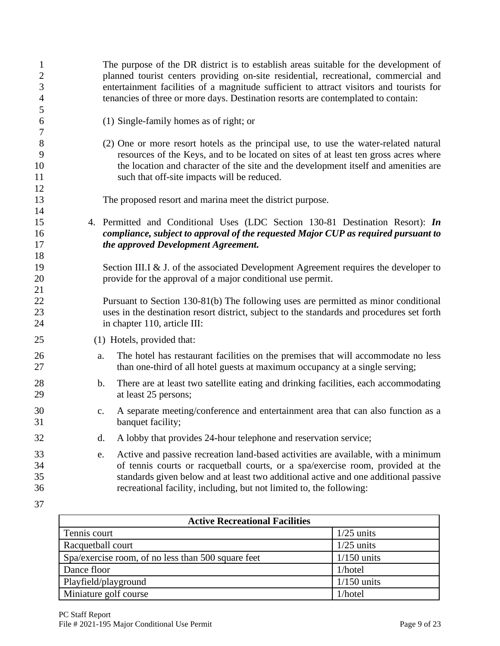| $\mathbf{1}$<br>$\overline{c}$<br>$\mathfrak{Z}$<br>$\overline{4}$ |                | The purpose of the DR district is to establish areas suitable for the development of<br>planned tourist centers providing on-site residential, recreational, commercial and<br>entertainment facilities of a magnitude sufficient to attract visitors and tourists for<br>tenancies of three or more days. Destination resorts are contemplated to contain: |
|--------------------------------------------------------------------|----------------|-------------------------------------------------------------------------------------------------------------------------------------------------------------------------------------------------------------------------------------------------------------------------------------------------------------------------------------------------------------|
| 5<br>6                                                             |                | (1) Single-family homes as of right; or                                                                                                                                                                                                                                                                                                                     |
| 7<br>8<br>9<br>10<br>11                                            |                | (2) One or more resort hotels as the principal use, to use the water-related natural<br>resources of the Keys, and to be located on sites of at least ten gross acres where<br>the location and character of the site and the development itself and amenities are<br>such that off-site impacts will be reduced.                                           |
| 12<br>13                                                           |                | The proposed resort and marina meet the district purpose.                                                                                                                                                                                                                                                                                                   |
| 14<br>15<br>16<br>17                                               |                | 4. Permitted and Conditional Uses (LDC Section 130-81 Destination Resort): In<br>compliance, subject to approval of the requested Major CUP as required pursuant to<br>the approved Development Agreement.                                                                                                                                                  |
| 18<br>19<br>20<br>21                                               |                | Section III.I & J. of the associated Development Agreement requires the developer to<br>provide for the approval of a major conditional use permit.                                                                                                                                                                                                         |
| 22<br>23<br>24                                                     |                | Pursuant to Section 130-81(b) The following uses are permitted as minor conditional<br>uses in the destination resort district, subject to the standards and procedures set forth<br>in chapter 110, article III:                                                                                                                                           |
| 25                                                                 |                | (1) Hotels, provided that:                                                                                                                                                                                                                                                                                                                                  |
| 26<br>27                                                           | a.             | The hotel has restaurant facilities on the premises that will accommodate no less<br>than one-third of all hotel guests at maximum occupancy at a single serving;                                                                                                                                                                                           |
| 28<br>29                                                           | b.             | There are at least two satellite eating and drinking facilities, each accommodating<br>at least 25 persons;                                                                                                                                                                                                                                                 |
| 30<br>31                                                           | $\mathbf{C}$ . | A separate meeting/conference and entertainment area that can also function as a<br>banquet facility;                                                                                                                                                                                                                                                       |
| 32                                                                 | d.             | A lobby that provides 24-hour telephone and reservation service;                                                                                                                                                                                                                                                                                            |
| 33<br>34<br>35<br>36                                               | e.             | Active and passive recreation land-based activities are available, with a minimum<br>of tennis courts or racquetball courts, or a spa/exercise room, provided at the<br>standards given below and at least two additional active and one additional passive<br>recreational facility, including, but not limited to, the following:                         |
| 37                                                                 |                |                                                                                                                                                                                                                                                                                                                                                             |

| <b>Active Recreational Facilities</b>              |               |  |  |  |
|----------------------------------------------------|---------------|--|--|--|
| Tennis court                                       | $1/25$ units  |  |  |  |
| Racquetball court                                  | $1/25$ units  |  |  |  |
| Spa/exercise room, of no less than 500 square feet | $1/150$ units |  |  |  |
| Dance floor                                        | $1/h$ otel    |  |  |  |
| Playfield/playground                               | $1/150$ units |  |  |  |
| Miniature golf course                              | 1/hotel       |  |  |  |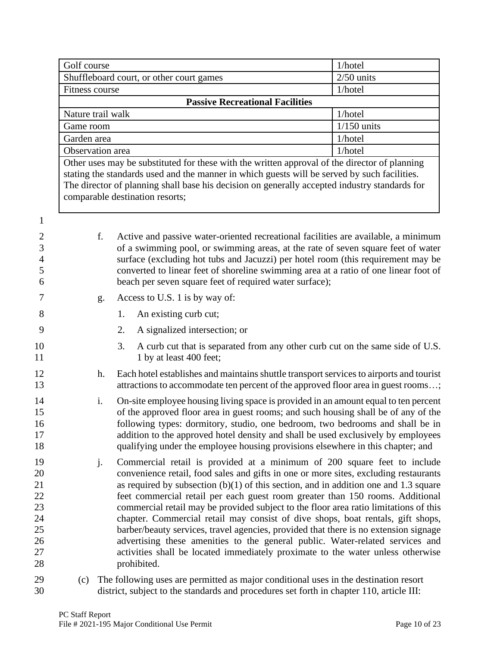|                                                          | Golf course                              |    |    | 1/hotel                                                                                                                                                                                                                                                                                                                                                                                                                                                                                                                                                                                                                                                                                                                                                                                            |               |  |
|----------------------------------------------------------|------------------------------------------|----|----|----------------------------------------------------------------------------------------------------------------------------------------------------------------------------------------------------------------------------------------------------------------------------------------------------------------------------------------------------------------------------------------------------------------------------------------------------------------------------------------------------------------------------------------------------------------------------------------------------------------------------------------------------------------------------------------------------------------------------------------------------------------------------------------------------|---------------|--|
|                                                          | Shuffleboard court, or other court games |    |    | $2/50$ units                                                                                                                                                                                                                                                                                                                                                                                                                                                                                                                                                                                                                                                                                                                                                                                       |               |  |
|                                                          | <b>Fitness course</b>                    |    |    |                                                                                                                                                                                                                                                                                                                                                                                                                                                                                                                                                                                                                                                                                                                                                                                                    | 1/hotel       |  |
|                                                          | <b>Passive Recreational Facilities</b>   |    |    |                                                                                                                                                                                                                                                                                                                                                                                                                                                                                                                                                                                                                                                                                                                                                                                                    |               |  |
|                                                          | Nature trail walk                        |    |    | 1/hotel                                                                                                                                                                                                                                                                                                                                                                                                                                                                                                                                                                                                                                                                                                                                                                                            |               |  |
|                                                          | Game room                                |    |    |                                                                                                                                                                                                                                                                                                                                                                                                                                                                                                                                                                                                                                                                                                                                                                                                    | $1/150$ units |  |
|                                                          | Garden area                              |    |    | 1/hotel                                                                                                                                                                                                                                                                                                                                                                                                                                                                                                                                                                                                                                                                                                                                                                                            |               |  |
|                                                          | Observation area                         |    |    |                                                                                                                                                                                                                                                                                                                                                                                                                                                                                                                                                                                                                                                                                                                                                                                                    | 1/hotel       |  |
|                                                          |                                          |    |    | Other uses may be substituted for these with the written approval of the director of planning<br>stating the standards used and the manner in which guests will be served by such facilities.<br>The director of planning shall base his decision on generally accepted industry standards for<br>comparable destination resorts;                                                                                                                                                                                                                                                                                                                                                                                                                                                                  |               |  |
| 1                                                        |                                          |    |    |                                                                                                                                                                                                                                                                                                                                                                                                                                                                                                                                                                                                                                                                                                                                                                                                    |               |  |
| $\overline{c}$                                           |                                          | f. |    | Active and passive water-oriented recreational facilities are available, a minimum                                                                                                                                                                                                                                                                                                                                                                                                                                                                                                                                                                                                                                                                                                                 |               |  |
| 3                                                        |                                          |    |    | of a swimming pool, or swimming areas, at the rate of seven square feet of water                                                                                                                                                                                                                                                                                                                                                                                                                                                                                                                                                                                                                                                                                                                   |               |  |
| $\overline{4}$                                           |                                          |    |    | surface (excluding hot tubs and Jacuzzi) per hotel room (this requirement may be                                                                                                                                                                                                                                                                                                                                                                                                                                                                                                                                                                                                                                                                                                                   |               |  |
| 5<br>6                                                   |                                          |    |    | converted to linear feet of shoreline swimming area at a ratio of one linear foot of<br>beach per seven square feet of required water surface);                                                                                                                                                                                                                                                                                                                                                                                                                                                                                                                                                                                                                                                    |               |  |
| 7                                                        |                                          | g. |    | Access to U.S. 1 is by way of:                                                                                                                                                                                                                                                                                                                                                                                                                                                                                                                                                                                                                                                                                                                                                                     |               |  |
| 8                                                        |                                          |    | 1. | An existing curb cut;                                                                                                                                                                                                                                                                                                                                                                                                                                                                                                                                                                                                                                                                                                                                                                              |               |  |
|                                                          |                                          |    |    |                                                                                                                                                                                                                                                                                                                                                                                                                                                                                                                                                                                                                                                                                                                                                                                                    |               |  |
| 9                                                        |                                          |    | 2. | A signalized intersection; or                                                                                                                                                                                                                                                                                                                                                                                                                                                                                                                                                                                                                                                                                                                                                                      |               |  |
| 10<br>11                                                 |                                          |    | 3. | A curb cut that is separated from any other curb cut on the same side of U.S.<br>1 by at least 400 feet;                                                                                                                                                                                                                                                                                                                                                                                                                                                                                                                                                                                                                                                                                           |               |  |
| 12<br>13                                                 |                                          | h. |    | Each hotel establishes and maintains shuttle transport services to airports and tourist<br>attractions to accommodate ten percent of the approved floor area in guest rooms;                                                                                                                                                                                                                                                                                                                                                                                                                                                                                                                                                                                                                       |               |  |
| 14<br>15<br>16<br>17<br>18                               |                                          | i. |    | On-site employee housing living space is provided in an amount equal to ten percent<br>of the approved floor area in guest rooms; and such housing shall be of any of the<br>following types: dormitory, studio, one bedroom, two bedrooms and shall be in<br>addition to the approved hotel density and shall be used exclusively by employees<br>qualifying under the employee housing provisions elsewhere in this chapter; and                                                                                                                                                                                                                                                                                                                                                                 |               |  |
| 19<br>20<br>21<br>22<br>23<br>24<br>25<br>26<br>27<br>28 |                                          | j. |    | Commercial retail is provided at a minimum of 200 square feet to include<br>convenience retail, food sales and gifts in one or more sites, excluding restaurants<br>as required by subsection $(b)(1)$ of this section, and in addition one and 1.3 square<br>feet commercial retail per each guest room greater than 150 rooms. Additional<br>commercial retail may be provided subject to the floor area ratio limitations of this<br>chapter. Commercial retail may consist of dive shops, boat rentals, gift shops,<br>barber/beauty services, travel agencies, provided that there is no extension signage<br>advertising these amenities to the general public. Water-related services and<br>activities shall be located immediately proximate to the water unless otherwise<br>prohibited. |               |  |
| 29                                                       | (c)                                      |    |    | The following uses are permitted as major conditional uses in the destination resort                                                                                                                                                                                                                                                                                                                                                                                                                                                                                                                                                                                                                                                                                                               |               |  |

district, subject to the standards and procedures set forth in chapter 110, article III: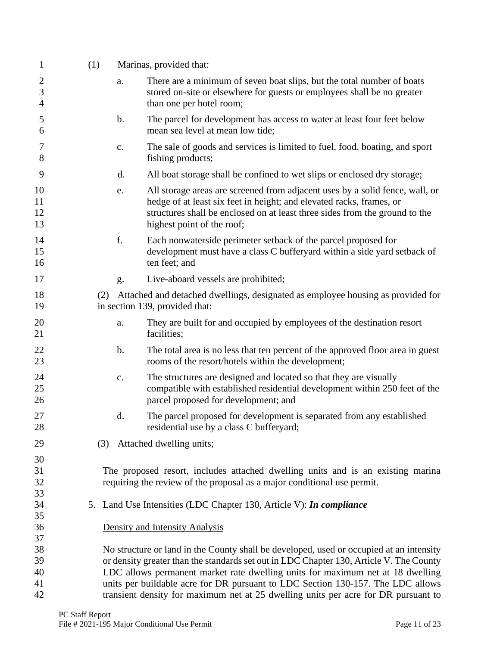| $\mathbf{1}$             | (1) |                | Marinas, provided that:                                                                                                                                                                                                                                           |
|--------------------------|-----|----------------|-------------------------------------------------------------------------------------------------------------------------------------------------------------------------------------------------------------------------------------------------------------------|
| $\overline{c}$<br>3<br>4 |     | a.             | There are a minimum of seven boat slips, but the total number of boats<br>stored on-site or elsewhere for guests or employees shall be no greater<br>than one per hotel room;                                                                                     |
| 5<br>6                   |     | $\mathbf b$ .  | The parcel for development has access to water at least four feet below<br>mean sea level at mean low tide;                                                                                                                                                       |
| 7<br>8                   |     | $\mathbf{c}$ . | The sale of goods and services is limited to fuel, food, boating, and sport<br>fishing products;                                                                                                                                                                  |
| 9                        |     | d.             | All boat storage shall be confined to wet slips or enclosed dry storage;                                                                                                                                                                                          |
| 10<br>11<br>12<br>13     |     | e.             | All storage areas are screened from adjacent uses by a solid fence, wall, or<br>hedge of at least six feet in height; and elevated racks, frames, or<br>structures shall be enclosed on at least three sides from the ground to the<br>highest point of the roof; |
| 14<br>15<br>16           |     | f.             | Each nonwaterside perimeter setback of the parcel proposed for<br>development must have a class C bufferyard within a side yard setback of<br>ten feet; and                                                                                                       |
| 17                       |     | g.             | Live-aboard vessels are prohibited;                                                                                                                                                                                                                               |
| 18<br>19                 | (2) |                | Attached and detached dwellings, designated as employee housing as provided for<br>in section 139, provided that:                                                                                                                                                 |
| 20<br>21                 |     | a.             | They are built for and occupied by employees of the destination resort<br>facilities;                                                                                                                                                                             |
| 22<br>23                 |     | $\mathbf b$ .  | The total area is no less that ten percent of the approved floor area in guest<br>rooms of the resort/hotels within the development;                                                                                                                              |
| 24<br>25<br>26           |     | $\mathbf{c}$ . | The structures are designed and located so that they are visually<br>compatible with established residential development within 250 feet of the<br>parcel proposed for development; and                                                                           |
| 27<br>28                 |     | d.             | The parcel proposed for development is separated from any established<br>residential use by a class C bufferyard;                                                                                                                                                 |
| 29                       | (3) |                | Attached dwelling units;                                                                                                                                                                                                                                          |
| 30<br>31<br>32<br>33     |     |                | The proposed resort, includes attached dwelling units and is an existing marina<br>requiring the review of the proposal as a major conditional use permit.                                                                                                        |
| 34<br>35                 | 5.  |                | Land Use Intensities (LDC Chapter 130, Article V): In compliance                                                                                                                                                                                                  |
| 36<br>37                 |     |                | Density and Intensity Analysis                                                                                                                                                                                                                                    |
| 38                       |     |                | No structure or land in the County shall be developed, used or occupied at an intensity                                                                                                                                                                           |
| 39<br>40                 |     |                | or density greater than the standards set out in LDC Chapter 130, Article V. The County<br>LDC allows permanent market rate dwelling units for maximum net at 18 dwelling                                                                                         |
| 41                       |     |                | units per buildable acre for DR pursuant to LDC Section 130-157. The LDC allows                                                                                                                                                                                   |
| 42                       |     |                | transient density for maximum net at 25 dwelling units per acre for DR pursuant to                                                                                                                                                                                |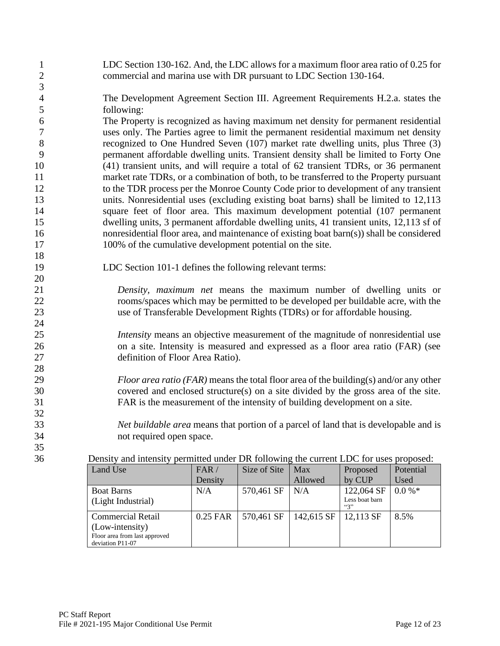| $\mathbf{1}$<br>$\mathbf{2}$<br>3 | LDC Section 130-162. And, the LDC allows for a maximum floor area ratio of 0.25 for<br>commercial and marina use with DR pursuant to LDC Section 130-164. |                                                                                              |              |         |             |           |
|-----------------------------------|-----------------------------------------------------------------------------------------------------------------------------------------------------------|----------------------------------------------------------------------------------------------|--------------|---------|-------------|-----------|
| $\overline{\mathcal{A}}$          | The Development Agreement Section III. Agreement Requirements H.2.a. states the                                                                           |                                                                                              |              |         |             |           |
| 5                                 | following:                                                                                                                                                |                                                                                              |              |         |             |           |
| 6                                 | The Property is recognized as having maximum net density for permanent residential                                                                        |                                                                                              |              |         |             |           |
| $\tau$                            | uses only. The Parties agree to limit the permanent residential maximum net density                                                                       |                                                                                              |              |         |             |           |
| $8\,$                             | recognized to One Hundred Seven (107) market rate dwelling units, plus Three (3)                                                                          |                                                                                              |              |         |             |           |
| 9                                 | permanent affordable dwelling units. Transient density shall be limited to Forty One                                                                      |                                                                                              |              |         |             |           |
| 10                                | (41) transient units, and will require a total of 62 transient TDRs, or 36 permanent                                                                      |                                                                                              |              |         |             |           |
| 11                                | market rate TDRs, or a combination of both, to be transferred to the Property pursuant                                                                    |                                                                                              |              |         |             |           |
| 12                                | to the TDR process per the Monroe County Code prior to development of any transient                                                                       |                                                                                              |              |         |             |           |
| 13                                | units. Nonresidential uses (excluding existing boat barns) shall be limited to 12,113                                                                     |                                                                                              |              |         |             |           |
| 14                                | square feet of floor area. This maximum development potential (107 permanent                                                                              |                                                                                              |              |         |             |           |
| 15                                | dwelling units, 3 permanent affordable dwelling units, 41 transient units, 12,113 sf of                                                                   |                                                                                              |              |         |             |           |
| 16                                | nonresidential floor area, and maintenance of existing boat barn(s)) shall be considered                                                                  |                                                                                              |              |         |             |           |
| 17                                | 100% of the cumulative development potential on the site.                                                                                                 |                                                                                              |              |         |             |           |
| 18                                |                                                                                                                                                           |                                                                                              |              |         |             |           |
| 19                                | LDC Section 101-1 defines the following relevant terms:                                                                                                   |                                                                                              |              |         |             |           |
| 20                                |                                                                                                                                                           |                                                                                              |              |         |             |           |
| 21                                |                                                                                                                                                           | Density, maximum net means the maximum number of dwelling units or                           |              |         |             |           |
| 22                                |                                                                                                                                                           | rooms/spaces which may be permitted to be developed per buildable acre, with the             |              |         |             |           |
| 23                                |                                                                                                                                                           | use of Transferable Development Rights (TDRs) or for affordable housing.                     |              |         |             |           |
| 24                                |                                                                                                                                                           |                                                                                              |              |         |             |           |
| 25                                |                                                                                                                                                           | <i>Intensity</i> means an objective measurement of the magnitude of nonresidential use       |              |         |             |           |
| 26                                |                                                                                                                                                           | on a site. Intensity is measured and expressed as a floor area ratio (FAR) (see              |              |         |             |           |
| 27                                |                                                                                                                                                           | definition of Floor Area Ratio).                                                             |              |         |             |           |
| $28\,$                            |                                                                                                                                                           |                                                                                              |              |         |             |           |
| 29                                |                                                                                                                                                           | <i>Floor area ratio (FAR)</i> means the total floor area of the building(s) and/or any other |              |         |             |           |
| 30                                |                                                                                                                                                           | covered and enclosed structure(s) on a site divided by the gross area of the site.           |              |         |             |           |
| 31                                |                                                                                                                                                           | FAR is the measurement of the intensity of building development on a site.                   |              |         |             |           |
| 32                                |                                                                                                                                                           |                                                                                              |              |         |             |           |
| 33                                |                                                                                                                                                           | Net buildable area means that portion of a parcel of land that is developable and is         |              |         |             |           |
| 34                                | not required open space.                                                                                                                                  |                                                                                              |              |         |             |           |
| 35                                |                                                                                                                                                           |                                                                                              |              |         |             |           |
| 36                                | Density and intensity permitted under DR following the current LDC for uses proposed:                                                                     |                                                                                              |              |         |             |           |
|                                   | Land Use                                                                                                                                                  | FAR /                                                                                        | Size of Site | Max     | Proposed    | Potential |
|                                   |                                                                                                                                                           | Density                                                                                      |              | Allowed | by CUP      | Used      |
|                                   | Roat Rarne                                                                                                                                                | $N/\Delta$                                                                                   | 570 461 SE   | N/A     | $122064$ SE | $0.0\%$ * |

| <b>Boat Barns</b><br>(Light Industrial)                                                          | N/A      | 570,461 SF | N/A        | 122,064 SF   0.0 %*<br>Less boat barn<br>66733 |      |
|--------------------------------------------------------------------------------------------------|----------|------------|------------|------------------------------------------------|------|
| <b>Commercial Retail</b><br>(Low-intensity)<br>Floor area from last approved<br>deviation P11-07 | 0.25 FAR | 570,461 SF | 142,615 SF | 12,113 SF                                      | 8.5% |
|                                                                                                  |          |            |            |                                                |      |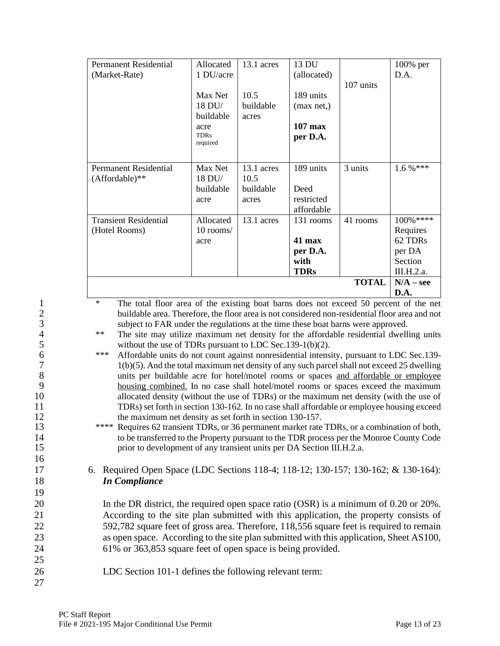|                   | <b>Permanent Residential</b>                                                                                                                                                            | Allocated           | 13.1 acres | 13 DU       |              | $100\%$ per  |
|-------------------|-----------------------------------------------------------------------------------------------------------------------------------------------------------------------------------------|---------------------|------------|-------------|--------------|--------------|
|                   | (Market-Rate)                                                                                                                                                                           | 1 DU/acre           |            | (allocated) |              | D.A.         |
|                   |                                                                                                                                                                                         |                     |            |             | 107 units    |              |
|                   |                                                                                                                                                                                         | Max Net             | 10.5       | 189 units   |              |              |
|                   |                                                                                                                                                                                         | 18 DU/              | buildable  | (max net,)  |              |              |
|                   |                                                                                                                                                                                         | buildable           | acres      |             |              |              |
|                   |                                                                                                                                                                                         | acre<br><b>TDRs</b> |            | 107 max     |              |              |
|                   |                                                                                                                                                                                         | required            |            | per D.A.    |              |              |
|                   |                                                                                                                                                                                         |                     |            |             |              |              |
|                   | <b>Permanent Residential</b>                                                                                                                                                            | Max Net             | 13.1 acres | 189 units   | 3 units      | $1.6 \%$ *** |
|                   | $(Affordable)**$                                                                                                                                                                        | 18 DU/              | 10.5       |             |              |              |
|                   |                                                                                                                                                                                         | buildable           | buildable  | Deed        |              |              |
|                   |                                                                                                                                                                                         | acre                | acres      | restricted  |              |              |
|                   |                                                                                                                                                                                         |                     |            | affordable  |              |              |
|                   | <b>Transient Residential</b>                                                                                                                                                            | Allocated           | 13.1 acres | 131 rooms   | 41 rooms     | 100%****     |
|                   | (Hotel Rooms)                                                                                                                                                                           | 10 rooms/           |            |             |              | Requires     |
|                   |                                                                                                                                                                                         | acre                |            | 41 max      |              | 62 TDRs      |
|                   |                                                                                                                                                                                         |                     |            | per D.A.    |              | per DA       |
|                   |                                                                                                                                                                                         |                     |            | with        |              | Section      |
|                   |                                                                                                                                                                                         |                     |            | <b>TDRs</b> |              | III.H.2.a.   |
|                   |                                                                                                                                                                                         |                     |            |             | <b>TOTAL</b> | $N/A - see$  |
|                   | $\ast$                                                                                                                                                                                  |                     |            |             |              | D.A.         |
| $\mathbf{1}$<br>C | The total floor area of the existing boat barns does not exceed 50 percent of the net<br>buildable area. Therefore, the floor area is not considered non-residential floor area and not |                     |            |             |              |              |

2 buildable area. Therefore, the floor area is not considered non-residential floor area and not subject to FAR under the regulations at the time these boat barns were approved. 3 subject to FAR under the regulations at the time these boat barns were approved.<br>4 <sup>\*\*</sup> The site may utilize maximum net density for the affordable residential dwell

<sup>\*\*</sup> The site may utilize maximum net density for the affordable residential dwelling units<br>5 without the use of TDRs pursuant to LDC Sec.139-1(b)(2). 5 without the use of TDRs pursuant to LDC Sec.139-1(b)(2).<br>6 \*\*\* Affordable units do not count against nonresidential intens

- <sup>\*\*\*</sup> Affordable units do not count against nonresidential intensity, pursuant to LDC Sec.139-<br>1(b)(5). And the total maximum net density of any such parcel shall not exceed 25 dwelling  $1(b)(5)$ . And the total maximum net density of any such parcel shall not exceed 25 dwelling 8 units per buildable acre for hotel/motel rooms or spaces and affordable or employee<br>9 housing combined. In no case shall hotel/motel rooms or spaces exceed the maximum housing combined. In no case shall hotel/motel rooms or spaces exceed the maximum 10 allocated density (without the use of TDRs) or the maximum net density (with the use of 11 TDRs) set forth in section 130-162. In no case shall affordable or employee housing exceed 12 the maximum net density as set forth in section 130-157.
- 13 \*\*\*\* Requires 62 transient TDRs, or 36 permanent market rate TDRs, or a combination of both, 14 to be transferred to the Property pursuant to the TDR process per the Monroe County Code 15 prior to development of any transient units per DA Section III.H.2.a.

17 6. Required Open Space (LDC Sections 118-4; 118-12; 130-157; 130-162; & 130-164): 18 *In Compliance*

20 In the DR district, the required open space ratio (OSR) is a minimum of 0.20 or 20%. According to the site plan submitted with this application, the property consists of 592,782 square feet of gross area. Therefore, 118,556 square feet is required to remain as open space. According to the site plan submitted with this application, Sheet AS100, 61% or 363,853 square feet of open space is being provided.

26 LDC Section 101-1 defines the following relevant term: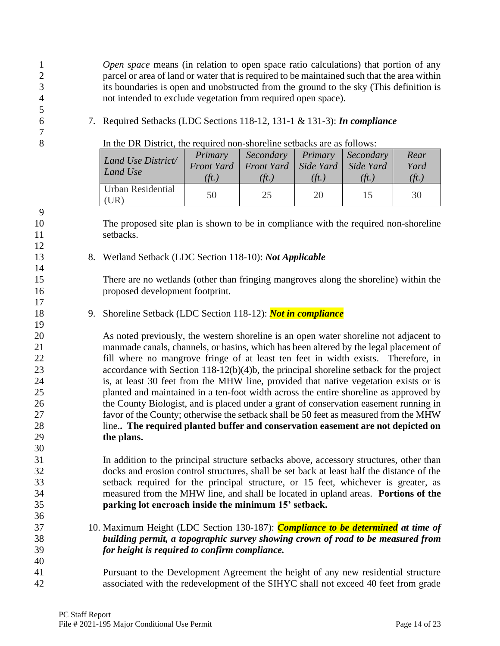*Open space* means (in relation to open space ratio calculations) that portion of any parcel or area of land or water that is required to be maintained such that the area within its boundaries is open and unobstructed from the ground to the sky (This definition is not intended to exclude vegetation from required open space).

7. Required Setbacks (LDC Sections 118-12, 131-1 & 131-3): *In compliance*

In the DR District, the required non-shoreline setbacks are as follows:

| Land Use District/<br>Land Use | Primary<br>$\hat{t}$ .) | Secondary Primary Secondary<br>Front Yard   Front Yard   Side Yard   Side Yard<br>$(\hat{t}t)$ | $(\ddot{t}$ .) | $(\hat{t}t)$ | Rear<br>Yard<br>(ft.) |
|--------------------------------|-------------------------|------------------------------------------------------------------------------------------------|----------------|--------------|-----------------------|
| Urban Residential<br>(UR)      | 50                      | 25                                                                                             | 20             | 15           | 30                    |

 The proposed site plan is shown to be in compliance with the required non-shoreline setbacks.

8. Wetland Setback (LDC Section 118-10): *Not Applicable*

 There are no wetlands (other than fringing mangroves along the shoreline) within the proposed development footprint.

9. Shoreline Setback (LDC Section 118-12): *Not in compliance*

 As noted previously, the western shoreline is an open water shoreline not adjacent to manmade canals, channels, or basins, which has been altered by the legal placement of fill where no mangrove fringe of at least ten feet in width exists. Therefore, in 23 accordance with Section 118-12(b)(4)b, the principal shoreline setback for the project is, at least 30 feet from the MHW line, provided that native vegetation exists or is planted and maintained in a ten-foot width across the entire shoreline as approved by 26 the County Biologist, and is placed under a grant of conservation easement running in favor of the County; otherwise the setback shall be 50 feet as measured from the MHW line.**. The required planted buffer and conservation easement are not depicted on the plans.**

 In addition to the principal structure setbacks above, accessory structures, other than docks and erosion control structures, shall be set back at least half the distance of the setback required for the principal structure, or 15 feet, whichever is greater, as measured from the MHW line, and shall be located in upland areas. **Portions of the parking lot encroach inside the minimum 15' setback.**

- 10. Maximum Height (LDC Section 130-187): *Compliance to be determined at time of building permit, a topographic survey showing crown of road to be measured from for height is required to confirm compliance.*
- Pursuant to the Development Agreement the height of any new residential structure associated with the redevelopment of the SIHYC shall not exceed 40 feet from grade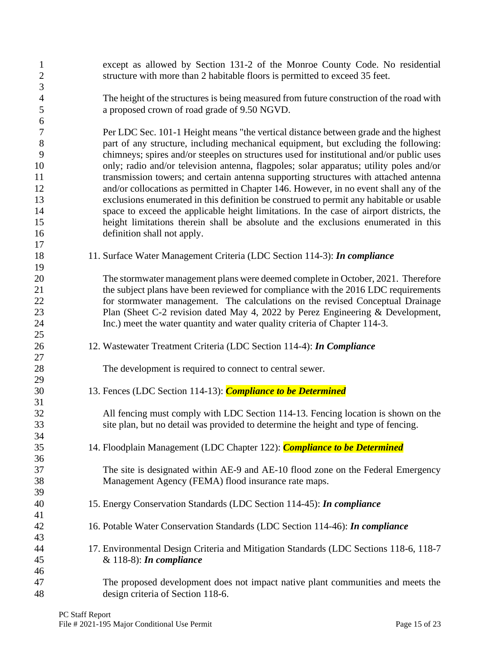| $\mathbf{1}$<br>$\mathbf{2}$ | except as allowed by Section 131-2 of the Monroe County Code. No residential<br>structure with more than 2 habitable floors is permitted to exceed 35 feet. |
|------------------------------|-------------------------------------------------------------------------------------------------------------------------------------------------------------|
| $\mathfrak{Z}$               |                                                                                                                                                             |
| $\overline{4}$               | The height of the structures is being measured from future construction of the road with                                                                    |
| 5                            | a proposed crown of road grade of 9.50 NGVD.                                                                                                                |
| 6<br>$\boldsymbol{7}$        | Per LDC Sec. 101-1 Height means "the vertical distance between grade and the highest                                                                        |
| $8\,$                        | part of any structure, including mechanical equipment, but excluding the following:                                                                         |
| 9                            | chimneys; spires and/or steeples on structures used for institutional and/or public uses                                                                    |
| 10                           | only; radio and/or television antenna, flagpoles; solar apparatus; utility poles and/or                                                                     |
| 11                           | transmission towers; and certain antenna supporting structures with attached antenna                                                                        |
| 12                           | and/or collocations as permitted in Chapter 146. However, in no event shall any of the                                                                      |
| 13                           | exclusions enumerated in this definition be construed to permit any habitable or usable                                                                     |
| 14                           | space to exceed the applicable height limitations. In the case of airport districts, the                                                                    |
| 15                           | height limitations therein shall be absolute and the exclusions enumerated in this                                                                          |
| 16                           | definition shall not apply.                                                                                                                                 |
| 17                           |                                                                                                                                                             |
| 18                           | 11. Surface Water Management Criteria (LDC Section 114-3): In compliance                                                                                    |
| 19                           |                                                                                                                                                             |
| 20                           | The stormwater management plans were deemed complete in October, 2021. Therefore                                                                            |
| 21                           | the subject plans have been reviewed for compliance with the 2016 LDC requirements                                                                          |
| $22\,$                       | for stormwater management. The calculations on the revised Conceptual Drainage                                                                              |
| 23                           | Plan (Sheet C-2 revision dated May 4, 2022 by Perez Engineering & Development,                                                                              |
| 24                           | Inc.) meet the water quantity and water quality criteria of Chapter 114-3.                                                                                  |
| 25                           |                                                                                                                                                             |
| 26                           | 12. Wastewater Treatment Criteria (LDC Section 114-4): In Compliance                                                                                        |
| 27                           |                                                                                                                                                             |
| 28<br>29                     | The development is required to connect to central sewer.                                                                                                    |
|                              |                                                                                                                                                             |
|                              |                                                                                                                                                             |
| 30                           | 13. Fences (LDC Section 114-13): Compliance to be Determined                                                                                                |
| 31                           |                                                                                                                                                             |
| 32                           | All fencing must comply with LDC Section 114-13. Fencing location is shown on the                                                                           |
| 33                           | site plan, but no detail was provided to determine the height and type of fencing.                                                                          |
| 34                           |                                                                                                                                                             |
| 35                           | 14. Floodplain Management (LDC Chapter 122): <i>Compliance to be Determined</i>                                                                             |
| 36                           |                                                                                                                                                             |
| 37<br>38                     | The site is designated within AE-9 and AE-10 flood zone on the Federal Emergency                                                                            |
| 39                           | Management Agency (FEMA) flood insurance rate maps.                                                                                                         |
| 40                           | 15. Energy Conservation Standards (LDC Section 114-45): In compliance                                                                                       |
| 41                           |                                                                                                                                                             |
| 42                           | 16. Potable Water Conservation Standards (LDC Section 114-46): In compliance                                                                                |
| 43                           |                                                                                                                                                             |
| 44                           | 17. Environmental Design Criteria and Mitigation Standards (LDC Sections 118-6, 118-7)                                                                      |
| 45                           | & $118-8$ : In compliance                                                                                                                                   |
| 46<br>47                     | The proposed development does not impact native plant communities and meets the                                                                             |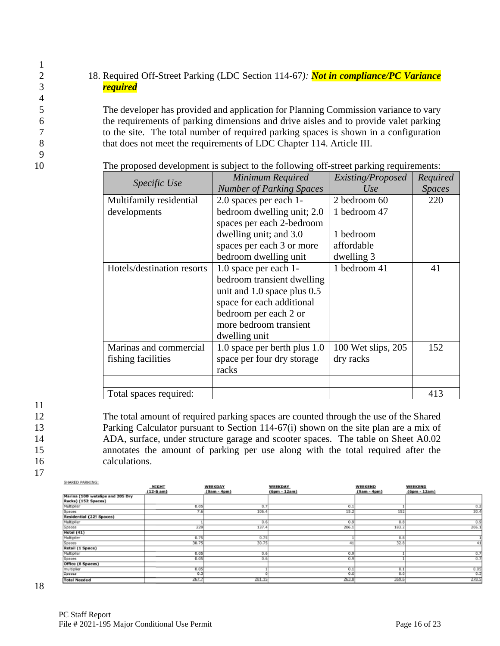# 2 18. Required Off-Street Parking (LDC Section 114-67*): Not in compliance/PC Variance* 3 *required*

 The developer has provided and application for Planning Commission variance to vary the requirements of parking dimensions and drive aisles and to provide valet parking to the site. The total number of required parking spaces is shown in a configuration that does not meet the requirements of LDC Chapter 114. Article III.

|                            | Minimum Required                | Existing/Proposed  | Required      |
|----------------------------|---------------------------------|--------------------|---------------|
| Specific Use               | <b>Number of Parking Spaces</b> | Use                | <b>Spaces</b> |
| Multifamily residential    | 2.0 spaces per each 1-          | 2 bedroom 60       | 220           |
| developments               | bedroom dwelling unit; 2.0      | 1 bedroom 47       |               |
|                            | spaces per each 2-bedroom       |                    |               |
|                            | dwelling unit; and 3.0          | 1 bedroom          |               |
|                            | spaces per each 3 or more       | affordable         |               |
|                            | bedroom dwelling unit           | dwelling 3         |               |
| Hotels/destination resorts | 1.0 space per each 1-           | 1 bedroom 41       | 41            |
|                            | bedroom transient dwelling      |                    |               |
|                            | unit and 1.0 space plus 0.5     |                    |               |
|                            | space for each additional       |                    |               |
|                            | bedroom per each 2 or           |                    |               |
|                            | more bedroom transient          |                    |               |
|                            | dwelling unit                   |                    |               |
| Marinas and commercial     | 1.0 space per berth plus 1.0    | 100 Wet slips, 205 | 152           |
| fishing facilities         | space per four dry storage      | dry racks          |               |
|                            | racks                           |                    |               |
|                            |                                 |                    |               |
| Total spaces required:     |                                 |                    | 413           |

10 The proposed development is subject to the following off-street parking requirements:

11

17

1

4

9

 The total amount of required parking spaces are counted through the use of the Shared Parking Calculator pursuant to Section 114-67(i) shown on the site plan are a mix of ADA, surface, under structure garage and scooter spaces. The table on Sheet A0.02 annotates the amount of parking per use along with the total required after the calculations.

CHARGE BARRING

| <b>GLIMPILLY EMPIRITIVE:</b>     |              |                |                |               |                |
|----------------------------------|--------------|----------------|----------------|---------------|----------------|
|                                  | <b>NEGHT</b> | <b>WEEKDAY</b> | <b>WEEKDAY</b> | WEEKEND       | <b>WEEKEND</b> |
|                                  | $(12-5 am)$  | $(9am - 4pm)$  | (6pm - 12am)   | $(9am - 4pm)$ | (6pm - 12am)   |
| Marina (100 wetslips and 205 Dry |              |                |                |               |                |
| Racks) (152 Spaces)              |              |                |                |               |                |
| Multiplier                       | 0.05         | 0.7            | 0.1            |               | 0.2            |
| Spaces                           | 7.6          | 106.4          | 15.2           | 152           | 30.4           |
| Residential (229 Spaces)         |              |                |                |               |                |
| Multiplier                       |              | 0.6            | 0.9            | 0.8           | 0.9            |
| Spaces                           | 229          | 137.4          | 206.1          | 183.2         | 206.1          |
| Hotel (41)                       |              |                |                |               |                |
| Multiplier                       | 0.75         | 0.75           |                | 0.8           |                |
| Spaces                           | 30.75        | 30.75          |                | 32.8          | 41             |
| Retail (1 Space)                 |              |                |                |               |                |
| Multiplier                       | 0.05         | 0.6            | 0.9            |               | 0.7            |
| Spaces                           | 0.05         | 0.6            | 0.9            |               | 0.7            |
| Office (6 Spaces)                |              |                |                |               |                |
| multiplier                       | 0.05         |                | 0.1            | 0.1           | 0.05           |
| Spacea                           | ত ম          |                | 0.6            | 0.6           | 0.3            |
| <b>Total Needed</b>              | 267.7        | 281.15         | 263.8          | 369.6         | 278.5          |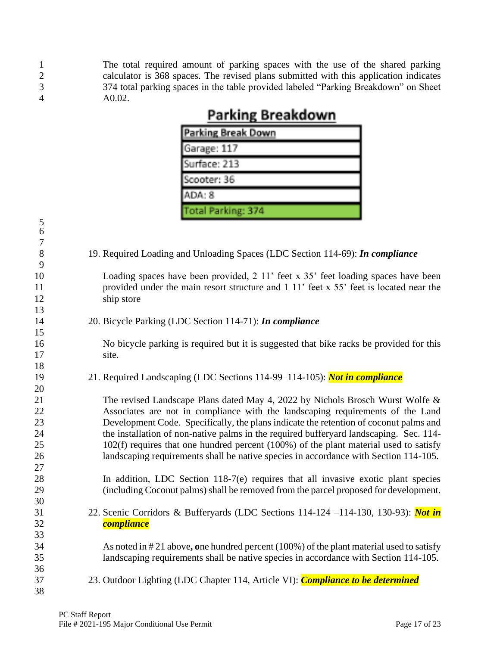1 The total required amount of parking spaces with the use of the shared parking<br>2 calculator is 368 spaces. The revised plans submitted with this application indicates 2 calculator is 368 spaces. The revised plans submitted with this application indicates 374 total parking spaces in the table provided labeled "Parking Breakdown" on Sheet 374 total parking spaces in the table provided labeled "Parking Breakdown" on Sheet A0.02.

| <b>Parking Break Down</b> |
|---------------------------|
| Garage: 117               |
| Surface: 213              |
| Soooter: 36               |
| ADA: 8                    |
| Total Parking: 374        |

# **Parking Breakdown**

|            | Total Parking: 374                                                                         |
|------------|--------------------------------------------------------------------------------------------|
| $\sqrt{5}$ |                                                                                            |
| 6          |                                                                                            |
| $\tau$     |                                                                                            |
| 8          | 19. Required Loading and Unloading Spaces (LDC Section 114-69): In compliance              |
| 9          |                                                                                            |
| 10         | Loading spaces have been provided, 2 11' feet x 35' feet loading spaces have been          |
| 11         | provided under the main resort structure and 1 11' feet x 55' feet is located near the     |
| 12         | ship store                                                                                 |
| 13         |                                                                                            |
| 14         | 20. Bicycle Parking (LDC Section 114-71): In compliance                                    |
| 15         |                                                                                            |
| 16         | No bicycle parking is required but it is suggested that bike racks be provided for this    |
| 17         | site.                                                                                      |
| 18         |                                                                                            |
| 19         | 21. Required Landscaping (LDC Sections 114-99–114-105): Not in compliance                  |
| 20         |                                                                                            |
| 21         | The revised Landscape Plans dated May 4, 2022 by Nichols Brosch Wurst Wolfe &              |
| 22         | Associates are not in compliance with the landscaping requirements of the Land             |
| 23         | Development Code. Specifically, the plans indicate the retention of coconut palms and      |
| 24         | the installation of non-native palms in the required bufferyard landscaping. Sec. 114-     |
| 25         | $102(f)$ requires that one hundred percent (100%) of the plant material used to satisfy    |
| 26         | landscaping requirements shall be native species in accordance with Section 114-105.       |
| 27         |                                                                                            |
| 28         | In addition, LDC Section 118-7(e) requires that all invasive exotic plant species          |
| 29         | (including Coconut palms) shall be removed from the parcel proposed for development.       |
| 30         |                                                                                            |
| 31         | 22. Scenic Corridors & Bufferyards (LDC Sections 114-124 -114-130, 130-93): Not in         |
| 32         | <b>compliance</b>                                                                          |
| 33         |                                                                                            |
| 34         | As noted in $\#21$ above, one hundred percent (100%) of the plant material used to satisfy |
| 35         | landscaping requirements shall be native species in accordance with Section 114-105.       |
| 36         |                                                                                            |
| 37         | 23. Outdoor Lighting (LDC Chapter 114, Article VI): Compliance to be determined            |
| 38         |                                                                                            |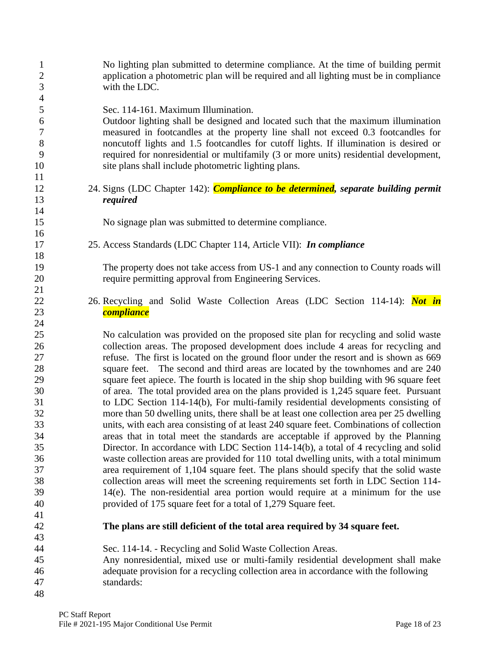| $\mathbf{1}$<br>$\mathbf{2}$<br>3 | No lighting plan submitted to determine compliance. At the time of building permit<br>application a photometric plan will be required and all lighting must be in compliance<br>with the LDC. |
|-----------------------------------|-----------------------------------------------------------------------------------------------------------------------------------------------------------------------------------------------|
| $\overline{4}$                    |                                                                                                                                                                                               |
| 5                                 | Sec. 114-161. Maximum Illumination.                                                                                                                                                           |
| 6                                 | Outdoor lighting shall be designed and located such that the maximum illumination                                                                                                             |
| $\tau$                            | measured in footcandles at the property line shall not exceed 0.3 footcandles for                                                                                                             |
| 8<br>9                            | noncutoff lights and 1.5 footcandles for cutoff lights. If illumination is desired or                                                                                                         |
|                                   | required for nonresidential or multifamily (3 or more units) residential development,                                                                                                         |
| 10                                | site plans shall include photometric lighting plans.                                                                                                                                          |
| 11<br>12                          |                                                                                                                                                                                               |
| 13                                | 24. Signs (LDC Chapter 142): <i>Compliance to be determined</i> , separate building permit                                                                                                    |
| 14                                | required                                                                                                                                                                                      |
| 15                                |                                                                                                                                                                                               |
| 16                                | No signage plan was submitted to determine compliance.                                                                                                                                        |
| 17                                | 25. Access Standards (LDC Chapter 114, Article VII): In compliance                                                                                                                            |
| 18                                |                                                                                                                                                                                               |
| 19                                | The property does not take access from US-1 and any connection to County roads will                                                                                                           |
| 20                                | require permitting approval from Engineering Services.                                                                                                                                        |
| 21                                |                                                                                                                                                                                               |
| 22                                | 26. Recycling and Solid Waste Collection Areas (LDC Section 114-14): Not in                                                                                                                   |
| 23                                | <b>compliance</b>                                                                                                                                                                             |
| 24                                |                                                                                                                                                                                               |
| 25                                | No calculation was provided on the proposed site plan for recycling and solid waste                                                                                                           |
| 26                                | collection areas. The proposed development does include 4 areas for recycling and                                                                                                             |
| 27                                | refuse. The first is located on the ground floor under the resort and is shown as 669                                                                                                         |
| 28                                | square feet. The second and third areas are located by the townhomes and are 240                                                                                                              |
| 29                                | square feet apiece. The fourth is located in the ship shop building with 96 square feet                                                                                                       |
| 30                                | of area. The total provided area on the plans provided is 1,245 square feet. Pursuant                                                                                                         |
| 31                                | to LDC Section 114-14(b), For multi-family residential developments consisting of                                                                                                             |
| 32                                | more than 50 dwelling units, there shall be at least one collection area per 25 dwelling                                                                                                      |
| 33                                | units, with each area consisting of at least 240 square feet. Combinations of collection                                                                                                      |
| 34                                | areas that in total meet the standards are acceptable if approved by the Planning                                                                                                             |
| 35                                | Director. In accordance with LDC Section 114-14(b), a total of 4 recycling and solid                                                                                                          |
| 36                                | waste collection areas are provided for 110 total dwelling units, with a total minimum                                                                                                        |
| 37                                | area requirement of 1,104 square feet. The plans should specify that the solid waste                                                                                                          |
| 38                                | collection areas will meet the screening requirements set forth in LDC Section 114-                                                                                                           |
| 39                                | 14(e). The non-residential area portion would require at a minimum for the use                                                                                                                |
| 40                                | provided of 175 square feet for a total of 1,279 Square feet.                                                                                                                                 |
| 41                                |                                                                                                                                                                                               |
| 42                                | The plans are still deficient of the total area required by 34 square feet.                                                                                                                   |
| 43                                |                                                                                                                                                                                               |
| 44                                | Sec. 114-14. - Recycling and Solid Waste Collection Areas.                                                                                                                                    |
| 45                                | Any nonresidential, mixed use or multi-family residential development shall make                                                                                                              |
| 46                                | adequate provision for a recycling collection area in accordance with the following                                                                                                           |
| 47                                | standards:                                                                                                                                                                                    |
| 48                                |                                                                                                                                                                                               |
|                                   |                                                                                                                                                                                               |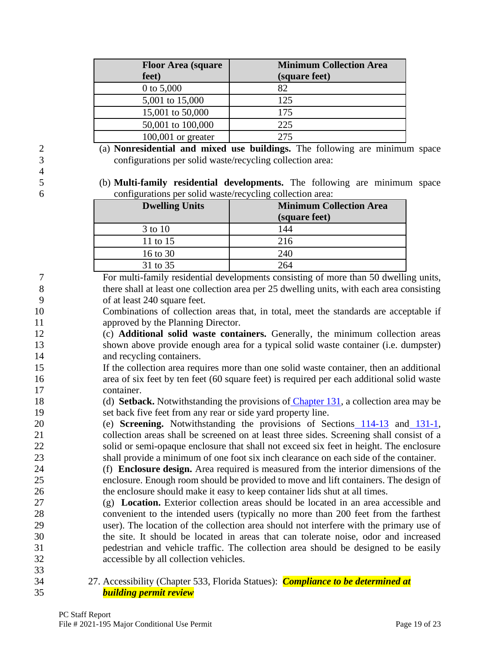| <b>Floor Area (square)</b><br>feet) | <b>Minimum Collection Area</b><br>(square feet) |
|-------------------------------------|-------------------------------------------------|
| 0 to $5,000$                        | 82                                              |
| 5,001 to 15,000                     | 125                                             |
| 15,001 to 50,000                    | 175                                             |
| 50,001 to 100,000                   | 225                                             |
| $100,001$ or greater                | 275                                             |

 (a) **Nonresidential and mixed use buildings.** The following are minimum space configurations per solid waste/recycling collection area:

 (b) **Multi-family residential developments.** The following are minimum space configurations per solid waste/recycling collection area:

| <b>Dwelling Units</b> | <b>Minimum Collection Area</b><br>(square feet) |
|-----------------------|-------------------------------------------------|
| 3 to 10               | 144                                             |
| 11 to 15              | 216                                             |
| 16 to 30              | 240                                             |
| 31 to 35              | 264                                             |

 For multi-family residential developments consisting of more than 50 dwelling units, there shall at least one collection area per 25 dwelling units, with each area consisting of at least 240 square feet.

 Combinations of collection areas that, in total, meet the standards are acceptable if approved by the Planning Director.

 (c) **Additional solid waste containers.** Generally, the minimum collection areas shown above provide enough area for a typical solid waste container (i.e. dumpster) and recycling containers.

 If the collection area requires more than one solid waste container, then an additional area of six feet by ten feet (60 square feet) is required per each additional solid waste container.

 (d) **Setback.** Notwithstanding the provisions of [Chapter 131,](https://library.municode.com/fl/monroe_county/codes/land_development_code?nodeId=CH131BURE) a collection area may be set back five feet from any rear or side yard property line.

 (e) **Screening.** Notwithstanding the provisions of Sections [114-13](https://library.municode.com/fl/monroe_county/codes/land_development_code?nodeId=CH114DEST_ARTIINGE_S114-13FE) and [131-1,](https://library.municode.com/fl/monroe_county/codes/land_development_code?nodeId=CH131BURE_S131-1RESE) collection areas shall be screened on at least three sides. Screening shall consist of a solid or semi-opaque enclosure that shall not exceed six feet in height. The enclosure shall provide a minimum of one foot six inch clearance on each side of the container.

 (f) **Enclosure design.** Area required is measured from the interior dimensions of the enclosure. Enough room should be provided to move and lift containers. The design of the enclosure should make it easy to keep container lids shut at all times.

- (g) **Location.** Exterior collection areas should be located in an area accessible and convenient to the intended users (typically no more than 200 feet from the farthest user). The location of the collection area should not interfere with the primary use of the site. It should be located in areas that can tolerate noise, odor and increased pedestrian and vehicle traffic. The collection area should be designed to be easily accessible by all collection vehicles.
- 

 27. Accessibility (Chapter 533, Florida Statues): *Compliance to be determined at building permit review*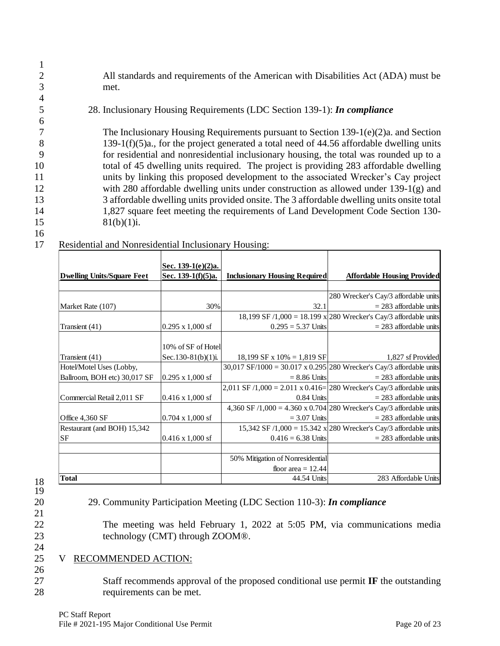2 All standards and requirements of the American with Disabilities Act (ADA) must be 3 met.

# 5 28. Inclusionary Housing Requirements (LDC Section 139-1): *In compliance*

 The Inclusionary Housing Requirements pursuant to Section 139-1(e)(2)a. and Section 139-1(f)(5)a., for the project generated a total need of 44.56 affordable dwelling units for residential and nonresidential inclusionary housing, the total was rounded up to a total of 45 dwelling units required. The project is providing 283 affordable dwelling units by linking this proposed development to the associated Wrecker's Cay project with 280 affordable dwelling units under construction as allowed under 139-1(g) and 3 affordable dwelling units provided onsite. The 3 affordable dwelling units onsite total 1,827 square feet meeting the requirements of Land Development Code Section 130- 81(b)(1)i.

16

1

4

6

## 17 Residential and Nonresidential Inclusionary Housing:

| <b>Dwelling Units/Square Feet</b> | Sec. 139-1(e)(2)a.<br>Sec. 139-1(f)(5)a. | <b>Inclusionary Housing Required</b>                                                                                                                 | <b>Affordable Housing Provided</b>                                                      |
|-----------------------------------|------------------------------------------|------------------------------------------------------------------------------------------------------------------------------------------------------|-----------------------------------------------------------------------------------------|
|                                   |                                          |                                                                                                                                                      |                                                                                         |
|                                   |                                          |                                                                                                                                                      | 280 Wrecker's Cay/3 affordable units                                                    |
| Market Rate (107)                 | 30%                                      | 32.1                                                                                                                                                 | $= 283$ affordable units                                                                |
|                                   |                                          |                                                                                                                                                      | 18,199 SF $/1,000 = 18.199 \text{ x} \cdot 280 \text{ Wrecker's Cay}3$ affordable units |
| Transient (41)                    | $0.295 \times 1,000 \text{ sf}$          | $0.295 = 5.37$ Units                                                                                                                                 | $= 283$ affordable units                                                                |
|                                   | 10% of SF of Hotel                       |                                                                                                                                                      |                                                                                         |
| Transient (41)                    | Sec.130-81(b)(1)i.                       | 18,199 SF x $10\% = 1,819$ SF                                                                                                                        | 1,827 sf Provided                                                                       |
| Hotel/Motel Uses (Lobby,          |                                          | 30,017 SF/1000 = 30.017 x 0.295 280 Wrecker's Cay/3 affordable units                                                                                 |                                                                                         |
| Ballroom, BOH etc) 30,017 SF      | $0.295 \times 1,000 \text{ sf}$          | $= 8.86$ Units                                                                                                                                       | $= 283$ affordable units                                                                |
|                                   |                                          | 2,011 SF /1,000 = 2.011 x 0.416= 280 Wrecker's Cay/3 affordable units                                                                                |                                                                                         |
| Commercial Retail 2,011 SF        | $0.416 \times 1,000$ sf                  | 0.84 Units                                                                                                                                           | $= 283$ affordable units                                                                |
|                                   |                                          | 4,360 SF /1,000 = 4.360 x 0.704 280 Wrecker's Cay/3 affordable units                                                                                 |                                                                                         |
| Office 4,360 SF                   | $0.704 \times 1,000$ sf                  | $= 3.07$ Units                                                                                                                                       | $= 283$ affordable units                                                                |
| Restaurant (and BOH) 15,342       |                                          |                                                                                                                                                      | 15,342 SF /1,000 = 15.342 x 280 Wrecker's Cay/3 affordable units                        |
| SF                                | $0.416 \times 1,000$ sf                  | $0.416 = 6.38$ Units                                                                                                                                 | $= 283$ affordable units                                                                |
|                                   |                                          | 50% Mitigation of Nonresidential                                                                                                                     |                                                                                         |
|                                   |                                          | floor area $= 12.44$                                                                                                                                 |                                                                                         |
| <b>Total</b>                      |                                          | 44.54 Units                                                                                                                                          | 283 Affordable Units                                                                    |
|                                   | technology (CMT) through ZOOM®.          | 29. Community Participation Meeting (LDC Section 110-3): In compliance<br>The meeting was held February 1, 2022 at 5:05 PM, via communications media |                                                                                         |
| RECOMMENDED ACTION:<br>V          |                                          | Staff recommends approval of the proposed conditional use permit $\mathbf{I} \mathbf{F}$ the outstanding                                             |                                                                                         |
|                                   |                                          |                                                                                                                                                      |                                                                                         |

18 19 21

24

26

# 20 29. Community Participation Meeting (LDC Section 110-3): *In compliance*

# 25 V RECOMMENDED ACTION: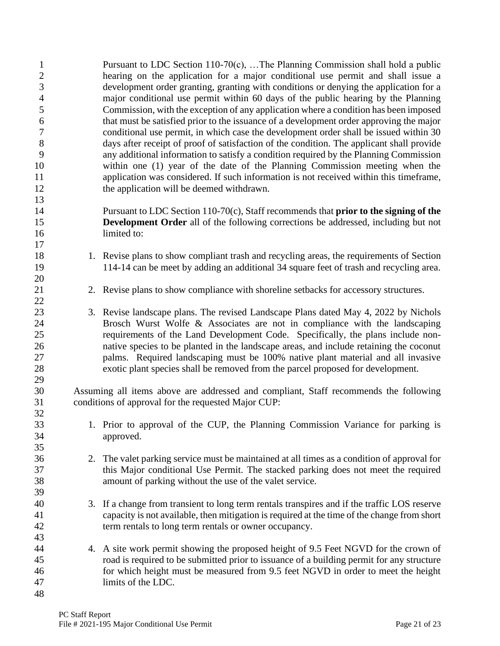| $\mathbf{1}$<br>$\mathbf{2}$ |    | Pursuant to LDC Section 110-70(c), The Planning Commission shall hold a public<br>hearing on the application for a major conditional use permit and shall issue a |
|------------------------------|----|-------------------------------------------------------------------------------------------------------------------------------------------------------------------|
| 3                            |    | development order granting, granting with conditions or denying the application for a                                                                             |
| $\overline{\mathcal{A}}$     |    | major conditional use permit within 60 days of the public hearing by the Planning                                                                                 |
| 5                            |    | Commission, with the exception of any application where a condition has been imposed                                                                              |
| $\boldsymbol{6}$             |    | that must be satisfied prior to the issuance of a development order approving the major                                                                           |
| $\boldsymbol{7}$             |    | conditional use permit, in which case the development order shall be issued within 30                                                                             |
| $8\,$                        |    | days after receipt of proof of satisfaction of the condition. The applicant shall provide                                                                         |
| 9                            |    | any additional information to satisfy a condition required by the Planning Commission                                                                             |
| 10                           |    | within one (1) year of the date of the Planning Commission meeting when the                                                                                       |
| 11                           |    | application was considered. If such information is not received within this timeframe,                                                                            |
| 12                           |    | the application will be deemed withdrawn.                                                                                                                         |
| 13                           |    |                                                                                                                                                                   |
| 14                           |    | Pursuant to LDC Section $110-70(c)$ , Staff recommends that <b>prior to the signing of the</b>                                                                    |
| 15                           |    | <b>Development Order</b> all of the following corrections be addressed, including but not                                                                         |
| 16                           |    | limited to:                                                                                                                                                       |
| 17                           |    |                                                                                                                                                                   |
| 18                           |    | 1. Revise plans to show compliant trash and recycling areas, the requirements of Section                                                                          |
| 19                           |    | 114-14 can be meet by adding an additional 34 square feet of trash and recycling area.                                                                            |
| 20                           |    |                                                                                                                                                                   |
| 21                           |    | 2. Revise plans to show compliance with shoreline setbacks for accessory structures.                                                                              |
| 22                           |    |                                                                                                                                                                   |
| 23                           |    | 3. Revise landscape plans. The revised Landscape Plans dated May 4, 2022 by Nichols                                                                               |
| 24                           |    | Brosch Wurst Wolfe & Associates are not in compliance with the landscaping                                                                                        |
| 25                           |    | requirements of the Land Development Code. Specifically, the plans include non-                                                                                   |
| 26                           |    | native species to be planted in the landscape areas, and include retaining the coconut                                                                            |
| 27                           |    | palms. Required landscaping must be 100% native plant material and all invasive                                                                                   |
| 28                           |    | exotic plant species shall be removed from the parcel proposed for development.                                                                                   |
| 29                           |    |                                                                                                                                                                   |
| 30                           |    | Assuming all items above are addressed and compliant, Staff recommends the following                                                                              |
| 31                           |    | conditions of approval for the requested Major CUP:                                                                                                               |
| 32                           |    |                                                                                                                                                                   |
| 33                           |    | 1. Prior to approval of the CUP, the Planning Commission Variance for parking is                                                                                  |
| 34                           |    | approved.                                                                                                                                                         |
| 35                           |    |                                                                                                                                                                   |
| 36                           | 2. | The valet parking service must be maintained at all times as a condition of approval for                                                                          |
| 37                           |    | this Major conditional Use Permit. The stacked parking does not meet the required                                                                                 |
| 38                           |    | amount of parking without the use of the valet service.                                                                                                           |
| 39                           |    |                                                                                                                                                                   |
| 40                           |    | 3. If a change from transient to long term rentals transpires and if the traffic LOS reserve                                                                      |
| 41                           |    | capacity is not available, then mitigation is required at the time of the change from short                                                                       |
| 42                           |    | term rentals to long term rentals or owner occupancy.                                                                                                             |
| 43                           |    |                                                                                                                                                                   |
| 44                           | 4. | A site work permit showing the proposed height of 9.5 Feet NGVD for the crown of                                                                                  |
| 45                           |    | road is required to be submitted prior to issuance of a building permit for any structure                                                                         |
| 46                           |    | for which height must be measured from 9.5 feet NGVD in order to meet the height                                                                                  |
| 47                           |    | limits of the LDC.                                                                                                                                                |
| 48                           |    |                                                                                                                                                                   |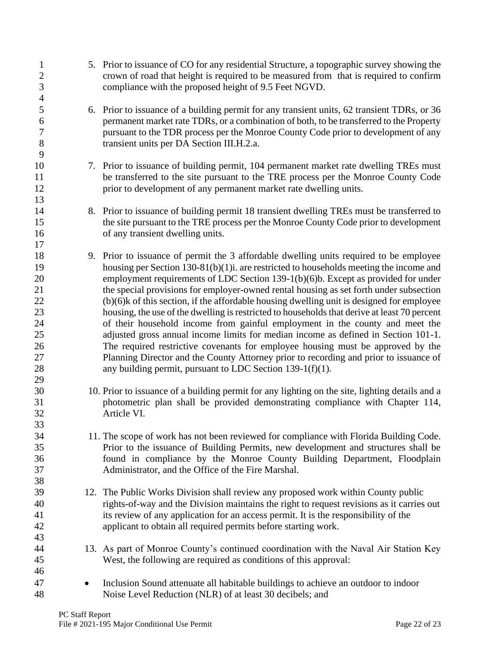| $\mathbf{1}$<br>$\boldsymbol{2}$<br>3                                      | 5. Prior to issuance of CO for any residential Structure, a topographic survey showing the<br>crown of road that height is required to be measured from that is required to confirm<br>compliance with the proposed height of 9.5 Feet NGVD.                                                                                                                                                                                                                                                                                                                                                                                                                                                                                                                                                                                                                                                                                                                                      |
|----------------------------------------------------------------------------|-----------------------------------------------------------------------------------------------------------------------------------------------------------------------------------------------------------------------------------------------------------------------------------------------------------------------------------------------------------------------------------------------------------------------------------------------------------------------------------------------------------------------------------------------------------------------------------------------------------------------------------------------------------------------------------------------------------------------------------------------------------------------------------------------------------------------------------------------------------------------------------------------------------------------------------------------------------------------------------|
| $\overline{4}$<br>5<br>6<br>$\boldsymbol{7}$<br>8<br>9                     | 6. Prior to issuance of a building permit for any transient units, 62 transient TDRs, or 36<br>permanent market rate TDRs, or a combination of both, to be transferred to the Property<br>pursuant to the TDR process per the Monroe County Code prior to development of any<br>transient units per DA Section III.H.2.a.                                                                                                                                                                                                                                                                                                                                                                                                                                                                                                                                                                                                                                                         |
| 10<br>11<br>12<br>13                                                       | 7. Prior to issuance of building permit, 104 permanent market rate dwelling TREs must<br>be transferred to the site pursuant to the TRE process per the Monroe County Code<br>prior to development of any permanent market rate dwelling units.                                                                                                                                                                                                                                                                                                                                                                                                                                                                                                                                                                                                                                                                                                                                   |
| 14<br>15<br>16                                                             | 8. Prior to issuance of building permit 18 transient dwelling TREs must be transferred to<br>the site pursuant to the TRE process per the Monroe County Code prior to development<br>of any transient dwelling units.                                                                                                                                                                                                                                                                                                                                                                                                                                                                                                                                                                                                                                                                                                                                                             |
| 17<br>18<br>19<br>20<br>21<br>22<br>23<br>24<br>25<br>26<br>27<br>28<br>29 | 9. Prior to issuance of permit the 3 affordable dwelling units required to be employee<br>housing per Section $130-81(b)(1)$ i. are restricted to households meeting the income and<br>employment requirements of LDC Section 139-1(b)(6)b. Except as provided for under<br>the special provisions for employer-owned rental housing as set forth under subsection<br>(b)(6)k of this section, if the affordable housing dwelling unit is designed for employee<br>housing, the use of the dwelling is restricted to households that derive at least 70 percent<br>of their household income from gainful employment in the county and meet the<br>adjusted gross annual income limits for median income as defined in Section 101-1.<br>The required restrictive covenants for employee housing must be approved by the<br>Planning Director and the County Attorney prior to recording and prior to issuance of<br>any building permit, pursuant to LDC Section $139-1(f)(1)$ . |
| 30<br>31<br>32<br>33                                                       | 10. Prior to issuance of a building permit for any lighting on the site, lighting details and a<br>photometric plan shall be provided demonstrating compliance with Chapter 114,<br>Article VI.                                                                                                                                                                                                                                                                                                                                                                                                                                                                                                                                                                                                                                                                                                                                                                                   |
| 34<br>35<br>36<br>37                                                       | 11. The scope of work has not been reviewed for compliance with Florida Building Code.<br>Prior to the issuance of Building Permits, new development and structures shall be<br>found in compliance by the Monroe County Building Department, Floodplain<br>Administrator, and the Office of the Fire Marshal.                                                                                                                                                                                                                                                                                                                                                                                                                                                                                                                                                                                                                                                                    |
| 38<br>39<br>40<br>41<br>42<br>43                                           | 12. The Public Works Division shall review any proposed work within County public<br>rights-of-way and the Division maintains the right to request revisions as it carries out<br>its review of any application for an access permit. It is the responsibility of the<br>applicant to obtain all required permits before starting work.                                                                                                                                                                                                                                                                                                                                                                                                                                                                                                                                                                                                                                           |
| 44<br>45                                                                   | 13. As part of Monroe County's continued coordination with the Naval Air Station Key<br>West, the following are required as conditions of this approval:                                                                                                                                                                                                                                                                                                                                                                                                                                                                                                                                                                                                                                                                                                                                                                                                                          |
| 46<br>47<br>48                                                             | Inclusion Sound attenuate all habitable buildings to achieve an outdoor to indoor<br>Noise Level Reduction (NLR) of at least 30 decibels; and                                                                                                                                                                                                                                                                                                                                                                                                                                                                                                                                                                                                                                                                                                                                                                                                                                     |